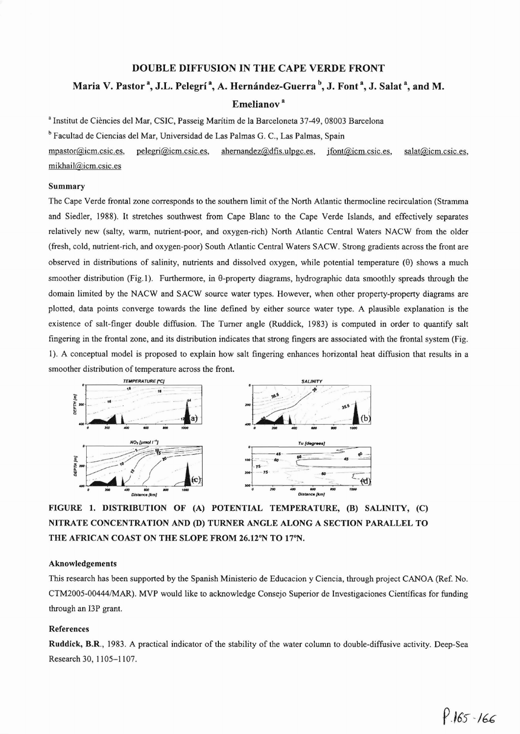# DOUBLE DIFFUSION IN THE CAPE VERDE FRONT

# Maria V. Pastor<sup>3</sup>, J.L. Pelegrí<sup>3</sup>, A. Hernández-Guerra<sup>b</sup>, J. Font<sup>3</sup>, J. Salat<sup>3</sup>, and M.

### Emelianov<sup>a</sup>

<sup>a</sup> Institut de Ciències del Mar, CSIC, Passeig Marítim de la Barceloneta 37-49, 08003 Barcelona

<sup>b</sup> Facultad de Ciencias del Mar, Universidad de Las Palmas G. c., Las Palmas, Spain

mpastor@icm.csic.es, pelegri@icm.csic.es, ahernandez@dfis.ulpgc.es, jfont@icm.csic.es, salat@icm.csic.es, mikhail@icm.csic.es

#### Summary

The Cape Verde frontal zone corresponds to the southern limit of the North Atlantic thermocline recirculation (Stramma and Siedler, 1988). It stretches southwest from Cape Blanc to the Cape Verde Islands, and effectively separates relatively new (salty, warm, nutrient-poor, and oxygen-rich) North Atlantic Central Waters NACW from the older (fresh, cold, nutrient-rich, and oxygen-poor) South Atlantic Central Waters SACW. Strong gradients across the front are observed in distributions of salinity, nutrients and dissolved oxygen, while potential temperature  $(\theta)$  shows a much smoother distribution (Fig.1). Furthermore, in  $\theta$ -property diagrams, hydrographic data smoothly spreads through the domain Iimited by the NACW and SACW source water types. However, when other property-property diagrams are plotted, data points converge towards the line defined by either source water type. A plausible explanation is the existence of salt-finger double diffusion. The Turner angle (Ruddick, 1983) is computed in order to quantify salt fingering in the frontal zone, and its distribution indicates that strong fingers are associated with the frontal system (Fig. 1). A conceptual model is proposed to explain how salt fingering enhances horizontal heat diffusion that results in a smoother distribution of temperature across the fron1.



FIGURE 1. DISTRIBUTION OF (A) POTENTIAL TEMPERATURE, (B) SALINITY, (C) NITRATE CONCENTRATION AND (D) TURNER ANGLE ALONG A SECTION PARALLELTO THE AFRICAN COAST ON THE SLOPE FROM 26.12°N TO 17°N.

#### Aknowledgements

This research has been supported by the Spanish Ministerio de Educacion y Ciencia, through project CANOA (Ref. No. CTM200S-00444IMAR). MVP would Iike to acknowledge Consejo Superior de Investigaciones Científicas for funding through an I3P grant.

### References

Ruddick, B.R., 1983. A practical indicator of the stability of the water colurnn to double-diffusive activity. Deep-Sea Research 30, 1105-1107.

 $9.165 - 166$